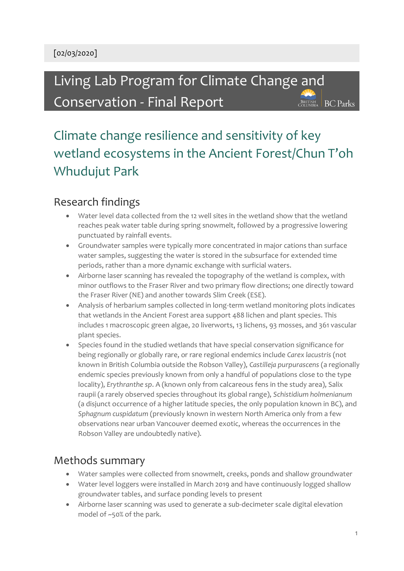Living Lab Program for Climate Change and Conservation - Final Report

BRITISH BC Parks

# Climate change resilience and sensitivity of key wetland ecosystems in the Ancient Forest/Chun T'oh Whudujut Park

## Research findings

- Water level data collected from the 12 well sites in the wetland show that the wetland reaches peak water table during spring snowmelt, followed by a progressive lowering punctuated by rainfall events.
- Groundwater samples were typically more concentrated in major cations than surface water samples, suggesting the water is stored in the subsurface for extended time periods, rather than a more dynamic exchange with surficial waters.
- Airborne laser scanning has revealed the topography of the wetland is complex, with minor outflows to the Fraser River and two primary flow directions; one directly toward the Fraser River (NE) and another towards Slim Creek (ESE).
- Analysis of herbarium samples collected in long-term wetland monitoring plots indicates that wetlands in the Ancient Forest area support 488 lichen and plant species. This includes 1 macroscopic green algae, 20 liverworts, 13 lichens, 93 mosses, and 361 vascular plant species.
- Species found in the studied wetlands that have special conservation significance for being regionally or globally rare, or rare regional endemics include *Carex lacustris* (not known in British Columbia outside the Robson Valley), *Castilleja purpurascens* (a regionally endemic species previously known from only a handful of populations close to the type locality), *Erythranthe sp*. A (known only from calcareous fens in the study area), Salix raupii (a rarely observed species throughout its global range), *Schistidium holmenianum* (a disjunct occurrence of a higher latitude species, the only population known in BC), and *Sphagnum cuspidatum* (previously known in western North America only from a few observations near urban Vancouver deemed exotic, whereas the occurrences in the Robson Valley are undoubtedly native).

#### Methods summary

- Water samples were collected from snowmelt, creeks, ponds and shallow groundwater
- Water level loggers were installed in March 2019 and have continuously logged shallow groundwater tables, and surface ponding levels to present
- Airborne laser scanning was used to generate a sub-decimeter scale digital elevation model of ~50% of the park.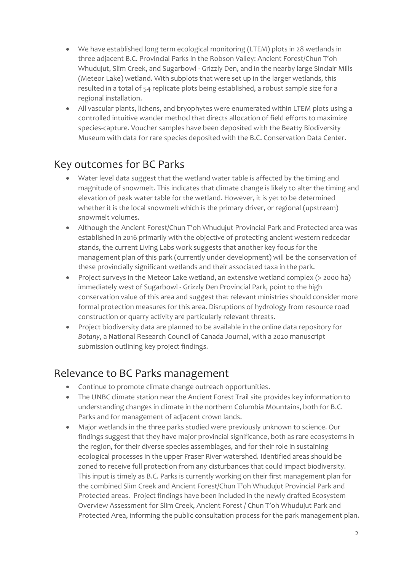- We have established long term ecological monitoring (LTEM) plots in 28 wetlands in three adjacent B.C. Provincial Parks in the Robson Valley: Ancient Forest/Chun T'oh Whudujut, Slim Creek, and Sugarbowl - Grizzly Den, and in the nearby large Sinclair Mills (Meteor Lake) wetland. With subplots that were set up in the larger wetlands, this resulted in a total of 54 replicate plots being established, a robust sample size for a regional installation.
- All vascular plants, lichens, and bryophytes were enumerated within LTEM plots using a controlled intuitive wander method that directs allocation of field efforts to maximize species-capture. Voucher samples have been deposited with the Beatty Biodiversity Museum with data for rare species deposited with the B.C. Conservation Data Center.

## Key outcomes for BC Parks

- Water level data suggest that the wetland water table is affected by the timing and magnitude of snowmelt. This indicates that climate change is likely to alter the timing and elevation of peak water table for the wetland. However, it is yet to be determined whether it is the local snowmelt which is the primary driver, or regional (upstream) snowmelt volumes.
- Although the Ancient Forest/Chun T'oh Whudujut Provincial Park and Protected area was established in 2016 primarily with the objective of protecting ancient western redcedar stands, the current Living Labs work suggests that another key focus for the management plan of this park (currently under development) will be the conservation of these provincially significant wetlands and their associated taxa in the park.
- Project surveys in the Meteor Lake wetland, an extensive wetland complex (> 2000 ha) immediately west of Sugarbowl - Grizzly Den Provincial Park, point to the high conservation value of this area and suggest that relevant ministries should consider more formal protection measures for this area. Disruptions of hydrology from resource road construction or quarry activity are particularly relevant threats.
- Project biodiversity data are planned to be available in the online data repository for *Botany*, a National Research Council of Canada Journal, with a 2020 manuscript submission outlining key project findings.

#### Relevance to BC Parks management

- Continue to promote climate change outreach opportunities.
- The UNBC climate station near the Ancient Forest Trail site provides key information to understanding changes in climate in the northern Columbia Mountains, both for B.C. Parks and for management of adjacent crown lands.
- Major wetlands in the three parks studied were previously unknown to science. Our findings suggest that they have major provincial significance, both as rare ecosystems in the region, for their diverse species assemblages, and for their role in sustaining ecological processes in the upper Fraser River watershed. Identified areas should be zoned to receive full protection from any disturbances that could impact biodiversity. This input is timely as B.C. Parks is currently working on their first management plan for the combined Slim Creek and Ancient Forest/Chun T'oh Whudujut Provincial Park and Protected areas. Project findings have been included in the newly drafted Ecosystem Overview Assessment for Slim Creek, Ancient Forest / Chun T'oh Whudujut Park and Protected Area, informing the public consultation process for the park management plan.